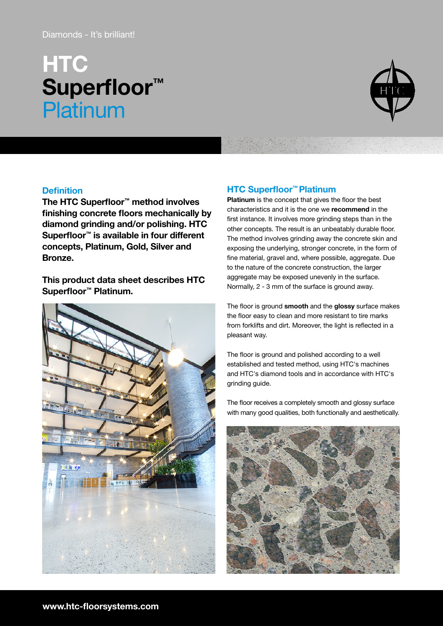# Diamonds - It's brilliant!

# **HTC** Superfloor<sup>™</sup> **Platinum**



# **Definition**

The HTC Superfloor™ method involves finishing concrete floors mechanically by diamond grinding and/or polishing. HTC Superfloor™ is available in four different concepts, Platinum, Gold, Silver and Bronze.

This product data sheet describes HTC Superfloor™ Platinum.



# HTC Superfloor™ Platinum

Platinum is the concept that gives the floor the best characteristics and it is the one we recommend in the first instance. It involves more grinding steps than in the other concepts. The result is an unbeatably durable floor. The method involves grinding away the concrete skin and exposing the underlying, stronger concrete, in the form of fine material, gravel and, where possible, aggregate. Due to the nature of the concrete construction, the larger aggregate may be exposed unevenly in the surface. Normally, 2 - 3 mm of the surface is ground away.

The floor is ground smooth and the glossy surface makes the floor easy to clean and more resistant to tire marks from forklifts and dirt. Moreover, the light is reflected in a pleasant way.

The floor is ground and polished according to a well established and tested method, using HTC's machines and HTC's diamond tools and in accordance with HTC's grinding guide.

The floor receives a completely smooth and glossy surface with many good qualities, both functionally and aesthetically.

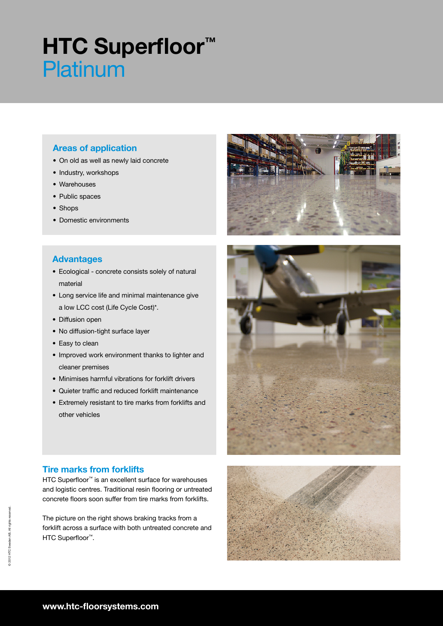# **HTC Superfloor™** Platinum

# Areas of application

- On old as well as newly laid concrete
- Industry, workshops
- Warehouses
- Public spaces
- Shops
- Domestic environments

# Advantages

- Ecological concrete consists solely of natural material
- Long service life and minimal maintenance give a low LCC cost (Life Cycle Cost)\*.
- Diffusion open
- No diffusion-tight surface layer
- Easy to clean
- Improved work environment thanks to lighter and cleaner premises
- Minimises harmful vibrations for forklift drivers
- Quieter traffic and reduced forklift maintenance
- Extremely resistant to tire marks from forklifts and other vehicles



# Tire marks from forklifts

HTC Superfloor<sup>™</sup> is an excellent surface for warehouses and logistic centres. Traditional resin flooring or untreated concrete floors soon suffer from tire marks from forklifts.

The picture on the right shows braking tracks from a forklift across a surface with both untreated concrete and HTC Superfloor<sup>™</sup>.

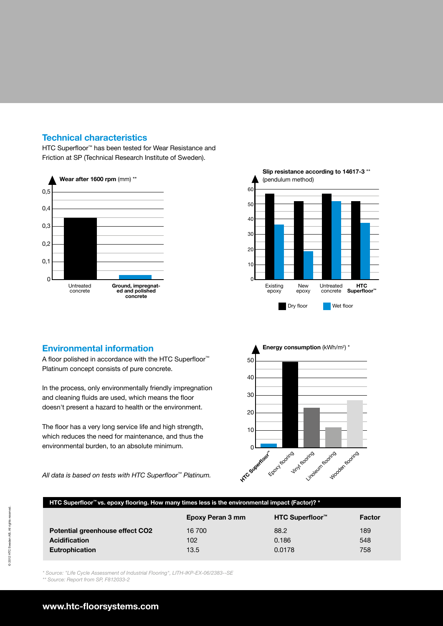# Technical characteristics

HTC Superfloor™ has been tested for Wear Resistance and Friction at SP (Technical Research Institute of Sweden).





### Environmental information

A floor polished in accordance with the HTC Superfloor<sup>™</sup> Platinum concept consists of pure concrete.

In the process, only environmentally friendly impregnation and cleaning fluids are used, which means the floor doesn't present a hazard to health or the environment.

The floor has a very long service life and high strength, which reduces the need for maintenance, and thus the environmental burden, to an absolute minimum.

All data is based on tests with HTC Superfloor<sup>™</sup> Platinum.



### HTC Superfloor™ vs. epoxy flooring. How many times less is the environmental impact (Factor)? \*

|                                 | Epoxy Peran 3 mm | HTC Superfloor <sup>™</sup> | Factor |
|---------------------------------|------------------|-----------------------------|--------|
| Potential greenhouse effect CO2 | 16 700           | 88.2                        | 189    |
| <b>Acidification</b>            | 102              | 0.186                       | 548    |
| Eutrophication                  | 13.5             | 0.0178                      | 758    |

\* Source: "Life Cycle Assessment of Industrial Flooring", LITH-IKP-EX-06/2383--SE

\*\* Source: Report from SP, F812033-2